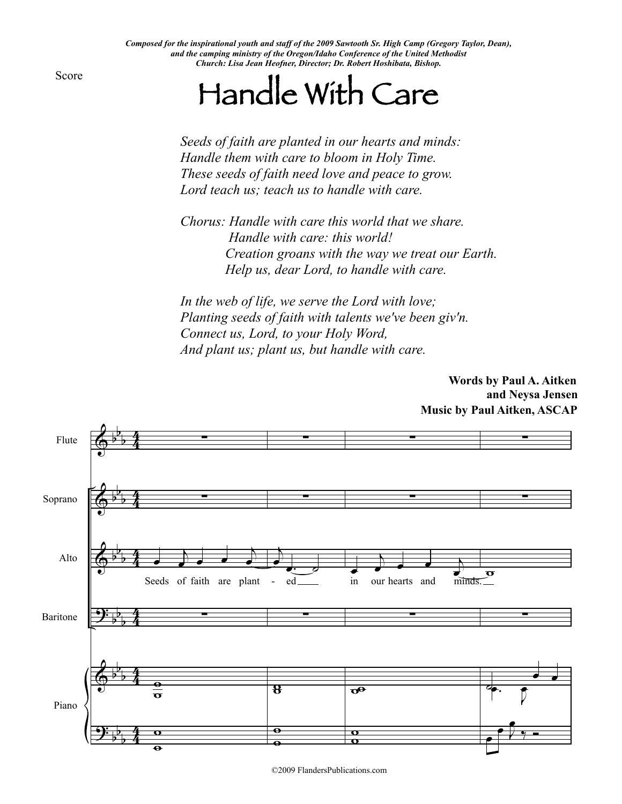*Composed for the inspirational youth and staff of the 2009 Sawtooth Sr. High Camp (Gregory Taylor, Dean), and the camping ministry of the Oregon/Idaho Conference of the United Methodist Church: Lisa Jean Heofner, Director; Dr. Robert Hoshibata, Bishop.*

Score

## Handle With Care

*Seeds of faith are planted in our hearts and minds: Handle them with care to bloom in Holy Time. These seeds of faith need love and peace to grow. Lord teach us; teach us to handle with care.*

*Chorus: Handle with care this world that we share. Handle with care: this world! Creation groans with the way we treat our Earth. Help us, dear Lord, to handle with care.*

*In the web of life, we serve the Lord with love; Planting seeds of faith with talents we've been giv'n. Connect us, Lord, to your Holy Word, And plant us; plant us, but handle with care.*

> **Words by Paul A. Aitken and Neysa Jensen Music by Paul Aitken, ASCAP**



©2009 FlandersPublications.com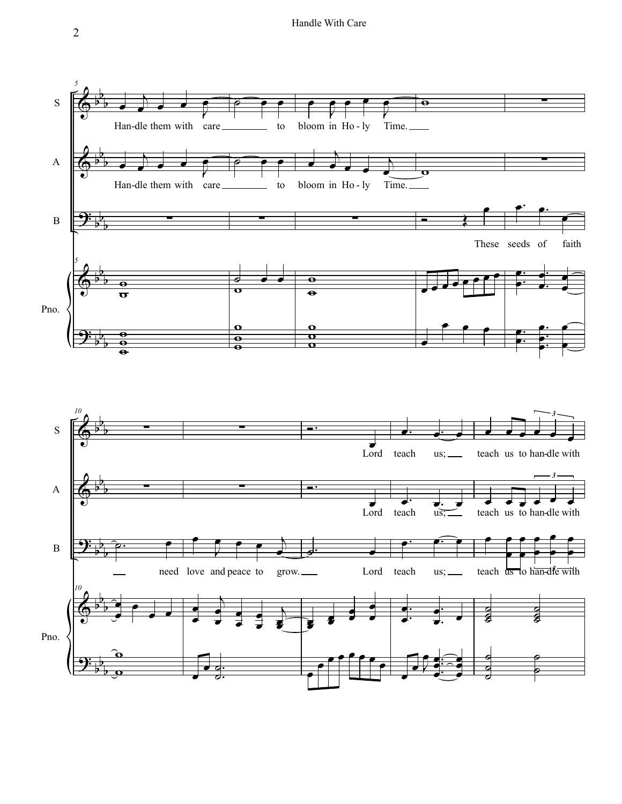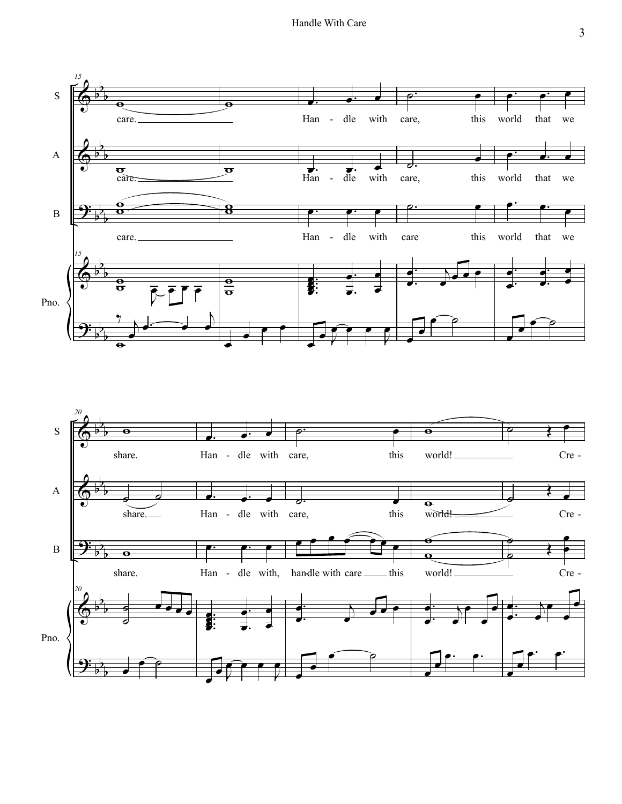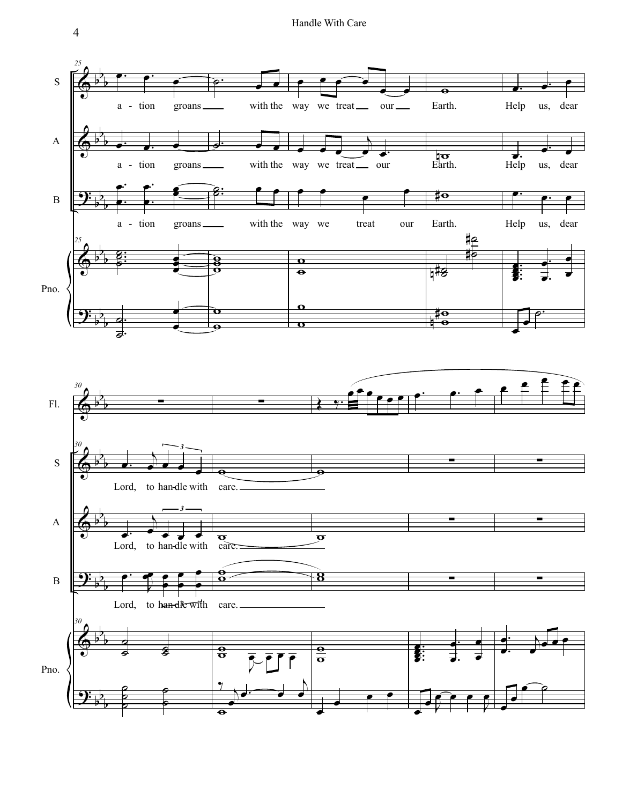Handle With Care



4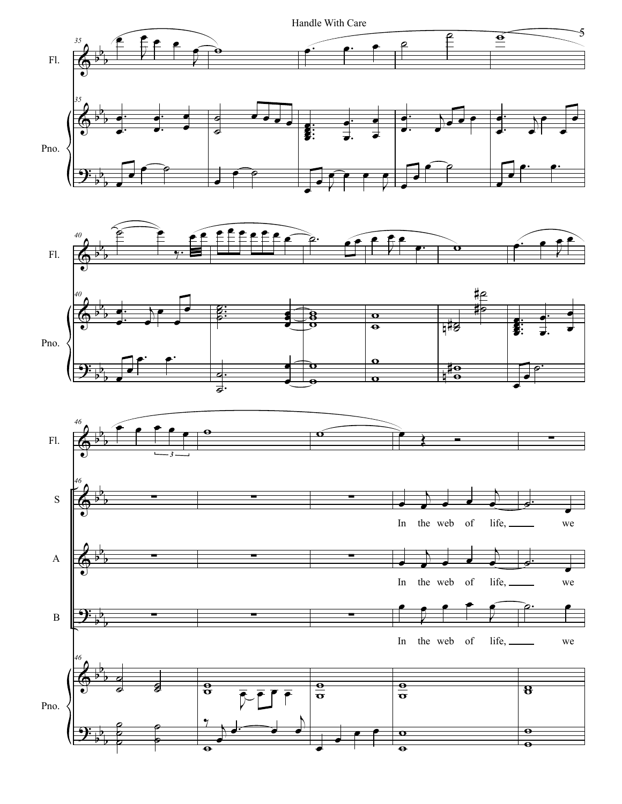

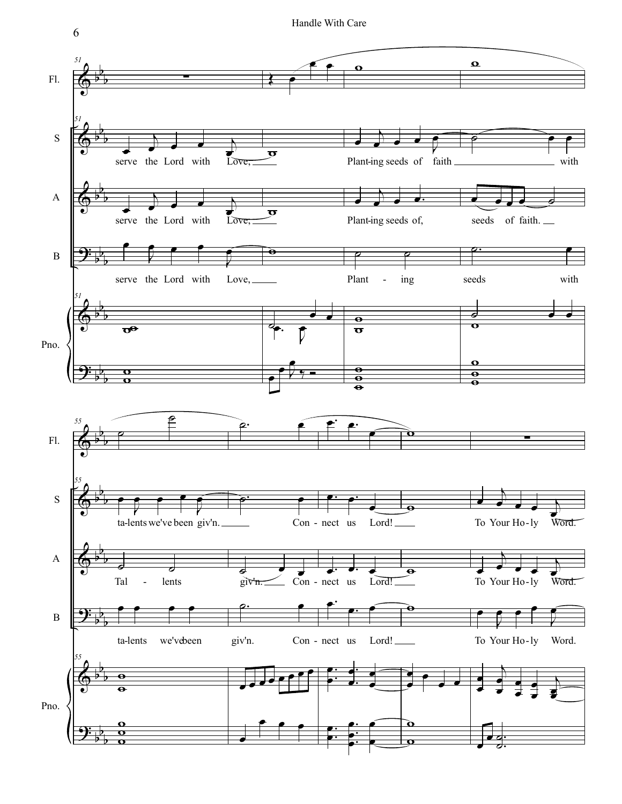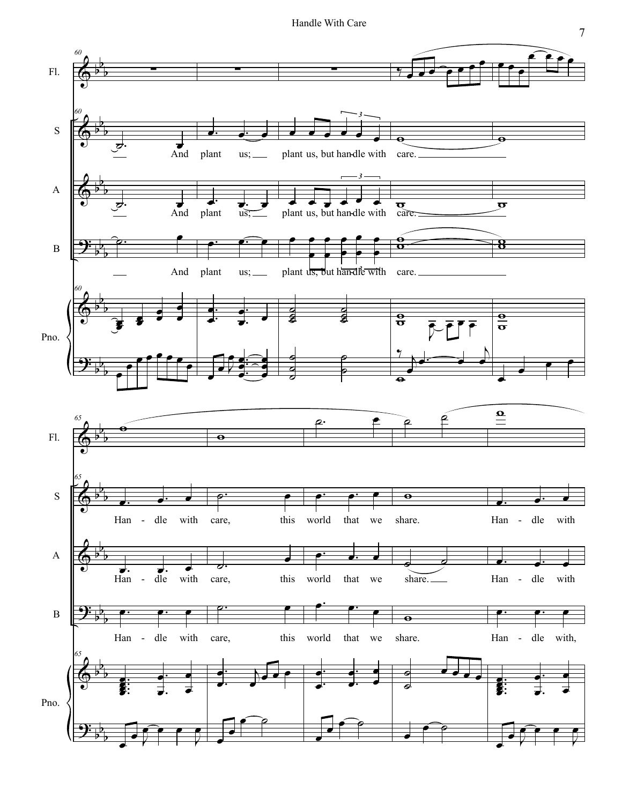Handle With Care

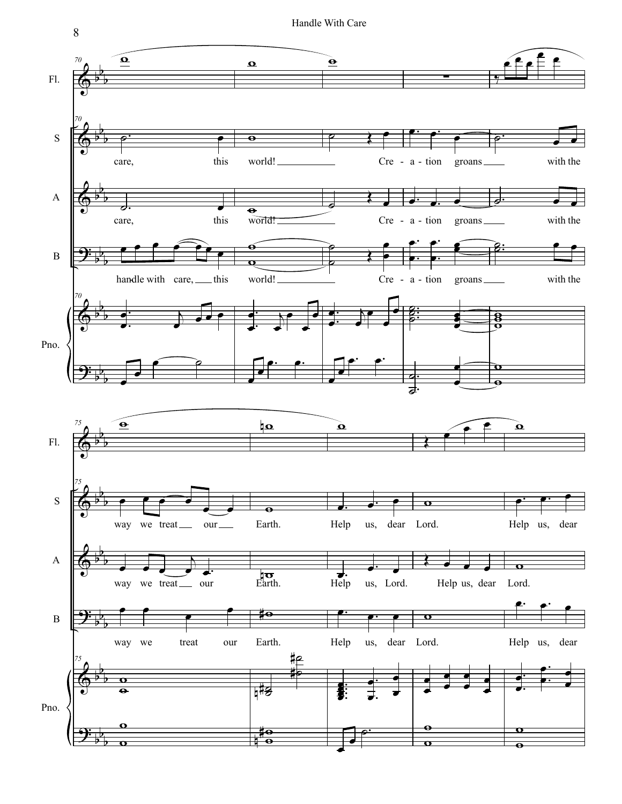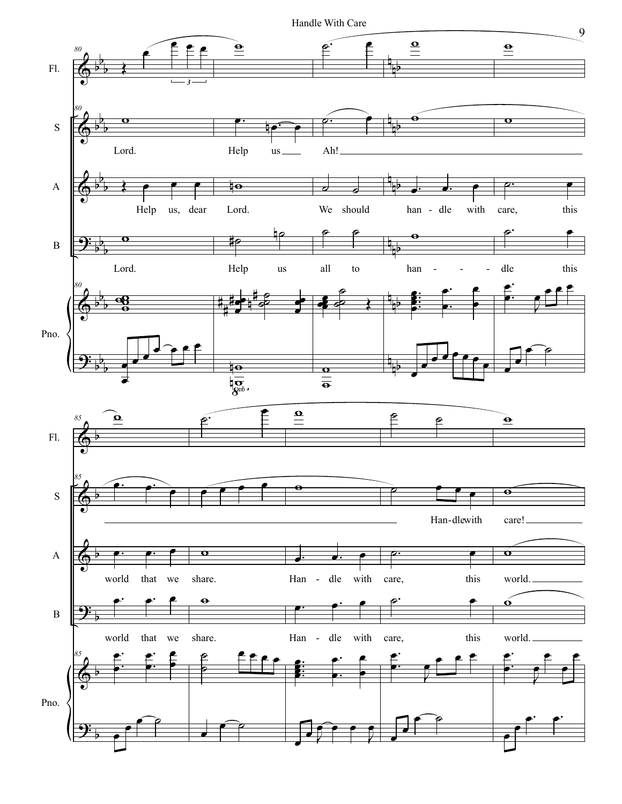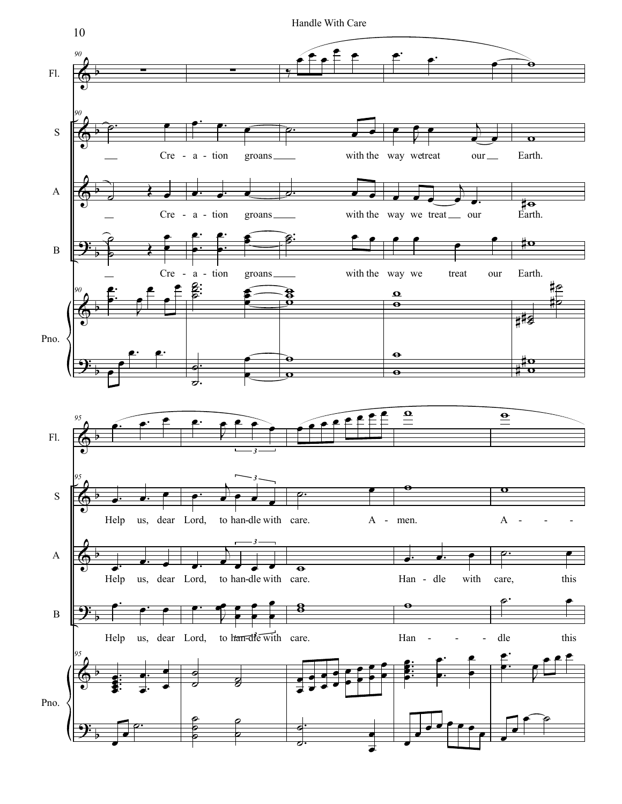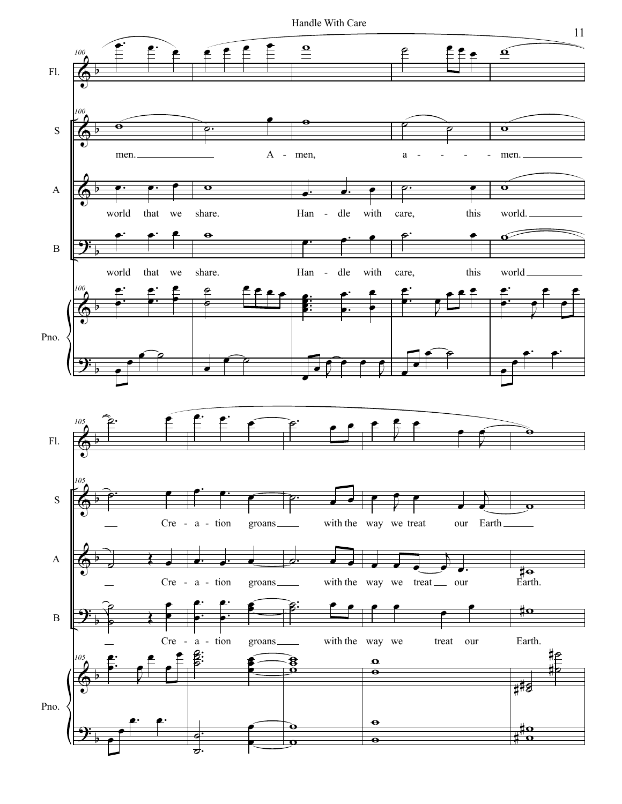Handle With Care



11